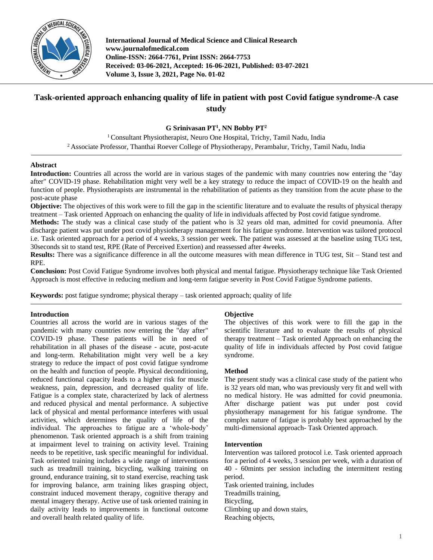

**International Journal of Medical Science and Clinical Research www.journalofmedical.com Online-ISSN: 2664-7761, Print ISSN: 2664-7753 Received: 03-06-2021, Accepted: 16-06-2021, Published: 03-07-2021 Volume 3, Issue 3, 2021, Page No. 01-02**

# **Task-oriented approach enhancing quality of life in patient with post Covid fatigue syndrome-A case study**

**G Srinivasan PT<sup>1</sup> , NN Bobby PT<sup>2</sup>**

<sup>1</sup> Consultant Physiotherapist, Neuro One Hospital, Trichy, Tamil Nadu, India <sup>2</sup> Associate Professor, Thanthai Roever College of Physiotherapy, Perambalur, Trichy, Tamil Nadu, India

# **Abstract**

**Introduction:** Countries all across the world are in various stages of the pandemic with many countries now entering the "day after" COVID-19 phase. Rehabilitation might very well be a key strategy to reduce the impact of COVID-19 on the health and function of people. Physiotherapists are instrumental in the rehabilitation of patients as they transition from the acute phase to the post-acute phase

**Objective:** The objectives of this work were to fill the gap in the scientific literature and to evaluate the results of physical therapy treatment – Task oriented Approach on enhancing the quality of life in individuals affected by Post covid fatigue syndrome.

**Methods:** The study was a clinical case study of the patient who is 32 years old man, admitted for covid pneumonia. After discharge patient was put under post covid physiotherapy management for his fatigue syndrome. Intervention was tailored protocol i.e. Task oriented approach for a period of 4 weeks, 3 session per week. The patient was assessed at the baseline using TUG test, 30seconds sit to stand test, RPE (Rate of Perceived Exertion) and reassessed after 4weeks.

**Results:** There was a significance difference in all the outcome measures with mean difference in TUG test, Sit – Stand test and RPE.

**Conclusion:** Post Covid Fatigue Syndrome involves both physical and mental fatigue. Physiotherapy technique like Task Oriented Approach is most effective in reducing medium and long-term fatigue severity in Post Covid Fatigue Syndrome patients.

**Keywords:** post fatigue syndrome; physical therapy – task oriented approach; quality of life

# **Introduction**

Countries all across the world are in various stages of the pandemic with many countries now entering the "day after" COVID-19 phase. These patients will be in need of rehabilitation in all phases of the disease - acute, post-acute and long-term. Rehabilitation might very well be a key strategy to reduce the impact of post covid fatigue syndrome on the health and function of people. Physical deconditioning, reduced functional capacity leads to a higher risk for muscle weakness, pain, depression, and decreased quality of life. Fatigue is a complex state, characterized by lack of alertness and reduced physical and mental performance. A subjective lack of physical and mental performance interferes with usual activities, which determines the quality of life of the individual. The approaches to fatigue are a 'whole-body' phenomenon. Task oriented approach is a shift from training at impairment level to training on activity level. Training needs to be repetitive, task specific meaningful for individual. Task oriented training includes a wide range of interventions such as treadmill training, bicycling, walking training on ground, endurance training, sit to stand exercise, reaching task for improving balance, arm training likes grasping object, constraint induced movement therapy, cognitive therapy and mental imagery therapy. Active use of task oriented training in daily activity leads to improvements in functional outcome and overall health related quality of life.

## **Objective**

The objectives of this work were to fill the gap in the scientific literature and to evaluate the results of physical therapy treatment – Task oriented Approach on enhancing the quality of life in individuals affected by Post covid fatigue syndrome.

## **Method**

The present study was a clinical case study of the patient who is 32 years old man, who was previously very fit and well with no medical history. He was admitted for covid pneumonia. After discharge patient was put under post covid physiotherapy management for his fatigue syndrome. The complex nature of fatigue is probably best approached by the multi-dimensional approach- Task Oriented approach.

## **Intervention**

Intervention was tailored protocol i.e. Task oriented approach for a period of 4 weeks, 3 session per week, with a duration of 40 - 60mints per session including the intermittent resting period.

Task oriented training, includes

Treadmills training,

Bicycling,

Climbing up and down stairs,

Reaching objects,